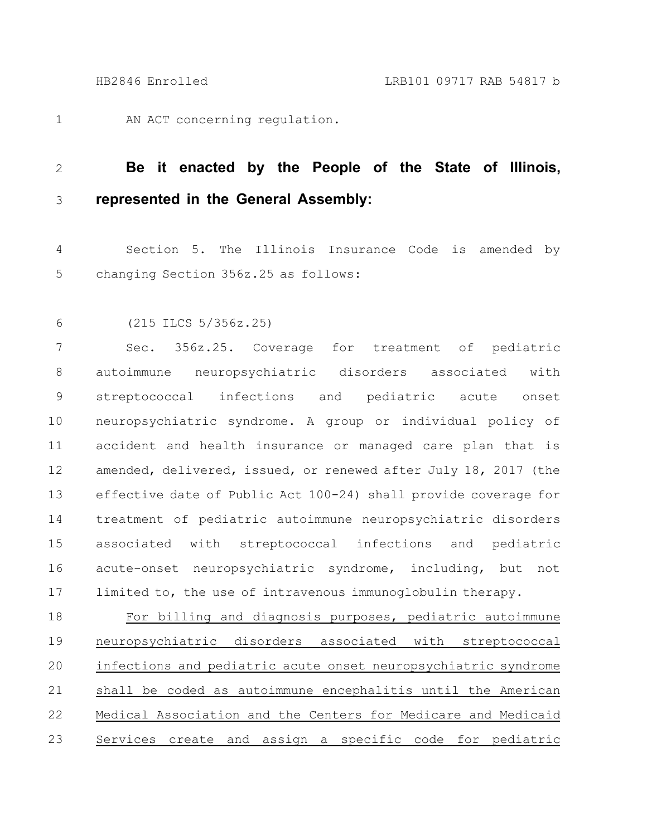AN ACT concerning regulation. 1

## **Be it enacted by the People of the State of Illinois, represented in the General Assembly:** 2 3

Section 5. The Illinois Insurance Code is amended by changing Section 356z.25 as follows: 4 5

(215 ILCS 5/356z.25) 6

Sec. 356z.25. Coverage for treatment of pediatric autoimmune neuropsychiatric disorders associated with streptococcal infections and pediatric acute onset neuropsychiatric syndrome. A group or individual policy of accident and health insurance or managed care plan that is amended, delivered, issued, or renewed after July 18, 2017 (the effective date of Public Act 100-24) shall provide coverage for treatment of pediatric autoimmune neuropsychiatric disorders associated with streptococcal infections and pediatric acute-onset neuropsychiatric syndrome, including, but not limited to, the use of intravenous immunoglobulin therapy. 7 8 9 10 11 12 13 14 15 16 17

For billing and diagnosis purposes, pediatric autoimmune neuropsychiatric disorders associated with streptococcal infections and pediatric acute onset neuropsychiatric syndrome shall be coded as autoimmune encephalitis until the American Medical Association and the Centers for Medicare and Medicaid Services create and assign a specific code for pediatric 18 19 20 21 22 23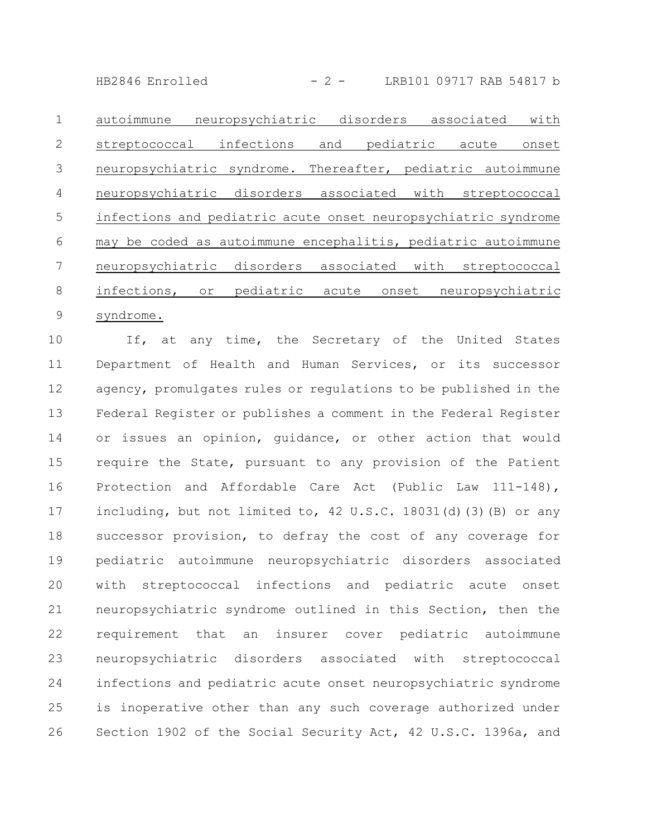$HB2846$  Enrolled  $-2 -$  LRB101 09717 RAB 54817 b

autoimmune neuropsychiatric disorders associated with streptococcal infections and pediatric acute onset neuropsychiatric syndrome. Thereafter, pediatric autoimmune neuropsychiatric disorders associated with streptococcal infections and pediatric acute onset neuropsychiatric syndrome may be coded as autoimmune encephalitis, pediatric autoimmune neuropsychiatric disorders associated with streptococcal infections, or pediatric acute onset neuropsychiatric syndrome. 1 2 3 4 5 6 7 8 9

If, at any time, the Secretary of the United States Department of Health and Human Services, or its successor agency, promulgates rules or regulations to be published in the Federal Register or publishes a comment in the Federal Register or issues an opinion, guidance, or other action that would require the State, pursuant to any provision of the Patient Protection and Affordable Care Act (Public Law 111-148), including, but not limited to, 42 U.S.C. 18031(d)(3)(B) or any successor provision, to defray the cost of any coverage for pediatric autoimmune neuropsychiatric disorders associated with streptococcal infections and pediatric acute onset neuropsychiatric syndrome outlined in this Section, then the requirement that an insurer cover pediatric autoimmune neuropsychiatric disorders associated with streptococcal infections and pediatric acute onset neuropsychiatric syndrome is inoperative other than any such coverage authorized under Section 1902 of the Social Security Act, 42 U.S.C. 1396a, and 10 11 12 13 14 15 16 17 18 19 20 21 22 23 24 25 26